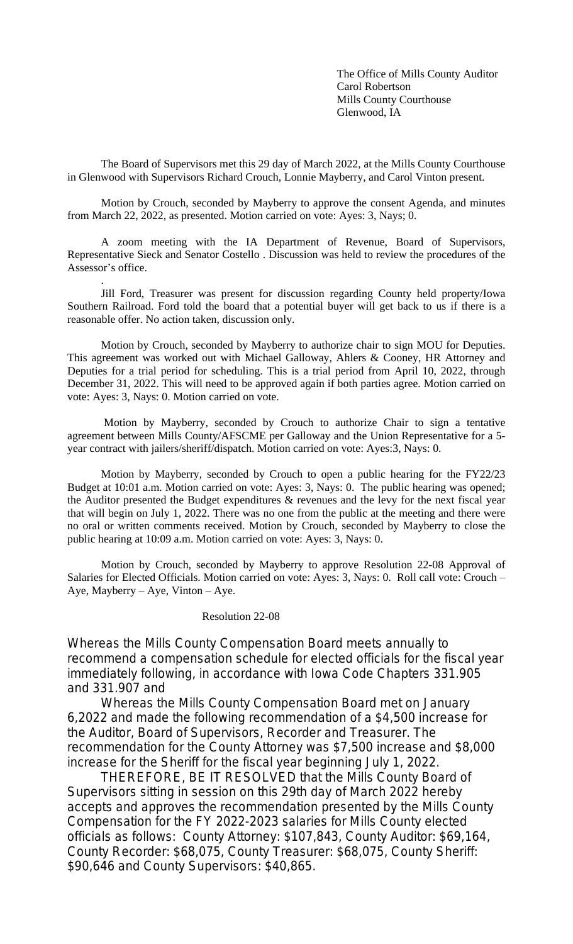The Office of Mills County Auditor Carol Robertson Mills County Courthouse Glenwood, IA

The Board of Supervisors met this 29 day of March 2022, at the Mills County Courthouse in Glenwood with Supervisors Richard Crouch, Lonnie Mayberry, and Carol Vinton present.

Motion by Crouch, seconded by Mayberry to approve the consent Agenda, and minutes from March 22, 2022, as presented. Motion carried on vote: Ayes: 3, Nays; 0.

A zoom meeting with the IA Department of Revenue, Board of Supervisors, Representative Sieck and Senator Costello . Discussion was held to review the procedures of the Assessor's office.

Jill Ford, Treasurer was present for discussion regarding County held property/Iowa Southern Railroad. Ford told the board that a potential buyer will get back to us if there is a reasonable offer. No action taken, discussion only.

.

Motion by Crouch, seconded by Mayberry to authorize chair to sign MOU for Deputies. This agreement was worked out with Michael Galloway, Ahlers & Cooney, HR Attorney and Deputies for a trial period for scheduling. This is a trial period from April 10, 2022, through December 31, 2022. This will need to be approved again if both parties agree. Motion carried on vote: Ayes: 3, Nays: 0. Motion carried on vote.

Motion by Mayberry, seconded by Crouch to authorize Chair to sign a tentative agreement between Mills County/AFSCME per Galloway and the Union Representative for a 5 year contract with jailers/sheriff/dispatch. Motion carried on vote: Ayes:3, Nays: 0.

Motion by Mayberry, seconded by Crouch to open a public hearing for the FY22/23 Budget at 10:01 a.m. Motion carried on vote: Ayes: 3, Nays: 0. The public hearing was opened; the Auditor presented the Budget expenditures & revenues and the levy for the next fiscal year that will begin on July 1, 2022. There was no one from the public at the meeting and there were no oral or written comments received. Motion by Crouch, seconded by Mayberry to close the public hearing at 10:09 a.m. Motion carried on vote: Ayes: 3, Nays: 0.

Motion by Crouch, seconded by Mayberry to approve Resolution 22-08 Approval of Salaries for Elected Officials. Motion carried on vote: Ayes: 3, Nays: 0. Roll call vote: Crouch – Aye, Mayberry – Aye, Vinton – Aye.

## Resolution 22-08

Whereas the Mills County Compensation Board meets annually to recommend a compensation schedule for elected officials for the fiscal year immediately following, in accordance with Iowa Code Chapters 331.905 and 331.907 and

Whereas the Mills County Compensation Board met on January 6,2022 and made the following recommendation of a \$4,500 increase for the Auditor, Board of Supervisors, Recorder and Treasurer. The recommendation for the County Attorney was \$7,500 increase and \$8,000 increase for the Sheriff for the fiscal year beginning July 1, 2022.

THEREFORE, BE IT RESOLVED that the Mills County Board of Supervisors sitting in session on this 29th day of March 2022 hereby accepts and approves the recommendation presented by the Mills County Compensation for the FY 2022-2023 salaries for Mills County elected officials as follows: County Attorney: \$107,843, County Auditor: \$69,164, County Recorder: \$68,075, County Treasurer: \$68,075, County Sheriff: \$90,646 and County Supervisors: \$40,865.